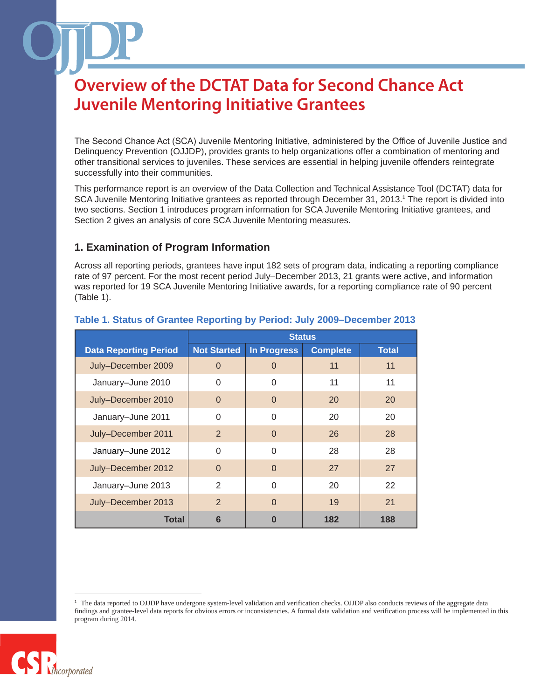The Second Chance Act (SCA) Juvenile Mentoring Initiative, administered by the Office of Juvenile Justice and Delinquency Prevention (OJJDP), provides grants to help organizations offer a combination of mentoring and other transitional services to juveniles. These services are essential in helping juvenile offenders reintegrate successfully into their communities.

This performance report is an overview of the Data Collection and Technical Assistance Tool (DCTAT) data for SCA Juvenile Mentoring Initiative grantees as reported through December 31, 2013.<sup>1</sup> The report is divided into two sections. Section 1 introduces program information for SCA Juvenile Mentoring Initiative grantees, and Section 2 gives an analysis of core SCA Juvenile Mentoring measures.

### **1. Examination of Program Information**

Across all reporting periods, grantees have input 182 sets of program data, indicating a reporting compliance rate of 97 percent. For the most recent period July–December 2013, 21 grants were active, and information was reported for 19 SCA Juvenile Mentoring Initiative awards, for a reporting compliance rate of 90 percent (Table 1).

|                              | <b>Status</b>      |                    |                 |              |
|------------------------------|--------------------|--------------------|-----------------|--------------|
| <b>Data Reporting Period</b> | <b>Not Started</b> | <b>In Progress</b> | <b>Complete</b> | <b>Total</b> |
| July-December 2009           | $\Omega$           | $\Omega$           | 11              | 11           |
| January-June 2010            | $\Omega$           | $\Omega$           | 11              | 11           |
| July-December 2010           | $\Omega$           | $\Omega$           | 20              | 20           |
| January-June 2011            | $\Omega$           | $\Omega$           | 20              | 20           |
| July-December 2011           | $\overline{2}$     | $\Omega$           | 26              | 28           |
| January-June 2012            | $\Omega$           | $\Omega$           | 28              | 28           |
| July-December 2012           | $\Omega$           | $\Omega$           | 27              | 27           |
| January-June 2013            | $\mathfrak{D}$     | $\Omega$           | 20              | 22           |
| July-December 2013           | $\overline{2}$     | $\Omega$           | 19              | 21           |
| <b>Total</b>                 | 6                  | 0                  | 182             | 188          |

### **Table 1. Status of Grantee Reporting by Period: July 2009–December 2013**

<sup>1</sup> The data reported to OJJDP have undergone system-level validation and verification checks. OJJDP also conducts reviews of the aggregate data findings and grantee-level data reports for obvious errors or inconsistencies. A formal data validation and verification process will be implemented in this program during 2014.

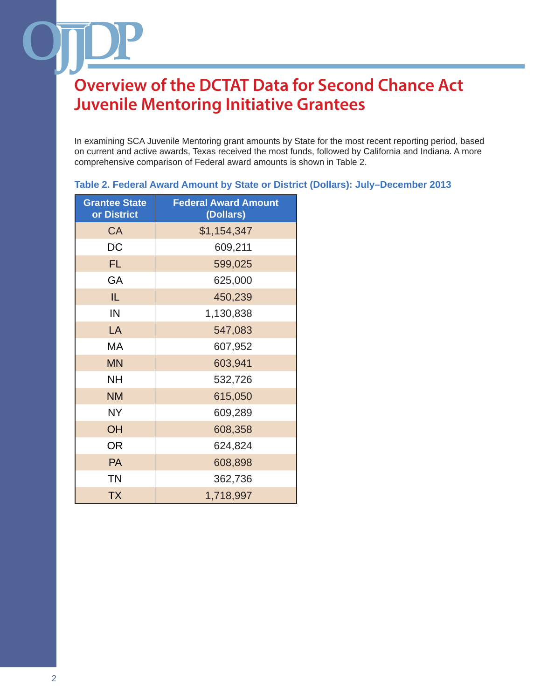In examining SCA Juvenile Mentoring grant amounts by State for the most recent reporting period, based on current and active awards, Texas received the most funds, followed by California and Indiana. A more comprehensive comparison of Federal award amounts is shown in Table 2.

| <b>Grantee State</b><br>or District | <b>Federal Award Amount</b><br>(Dollars) |
|-------------------------------------|------------------------------------------|
| <b>CA</b>                           | \$1,154,347                              |
| DC                                  | 609,211                                  |
| <b>FL</b>                           | 599,025                                  |
| GA                                  | 625,000                                  |
| IL                                  | 450,239                                  |
| IN                                  | 1,130,838                                |
| LA                                  | 547,083                                  |
| МA                                  | 607,952                                  |
| <b>MN</b>                           | 603,941                                  |
| NΗ                                  | 532,726                                  |
| <b>NM</b>                           | 615,050                                  |
| NΥ                                  | 609,289                                  |
| OH                                  | 608,358                                  |
| <b>OR</b>                           | 624,824                                  |
| <b>PA</b>                           | 608,898                                  |
| <b>TN</b>                           | 362,736                                  |
| <b>TX</b>                           | 1,718,997                                |

### **Table 2. Federal Award Amount by State or District (Dollars): July–December 2013**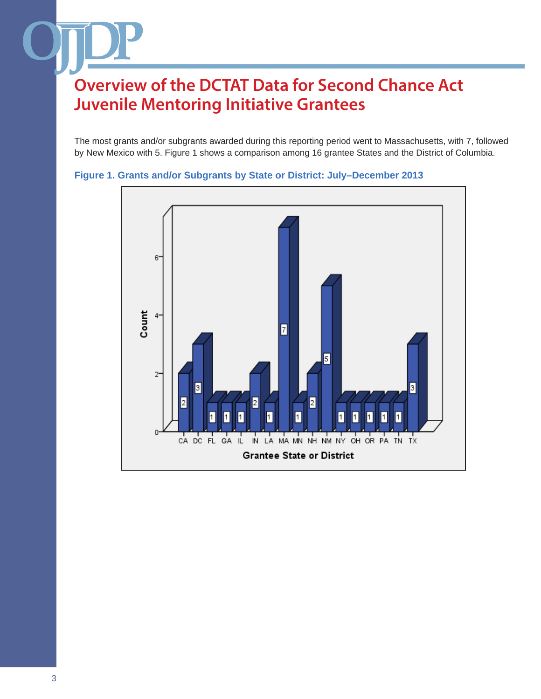The most grants and/or subgrants awarded during this reporting period went to Massachusetts, with 7, followed by New Mexico with 5. Figure 1 shows a comparison among 16 grantee States and the District of Columbia.



### **Figure 1. Grants and/or Subgrants by State or District: July–December 2013**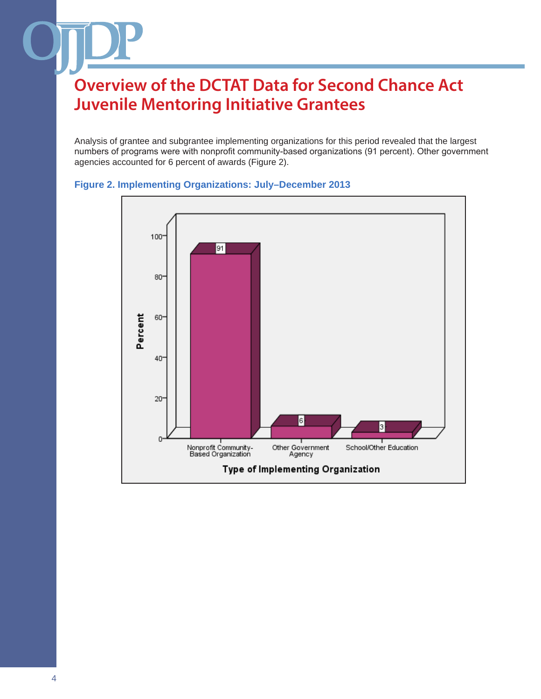Analysis of grantee and subgrantee implementing organizations for this period revealed that the largest numbers of programs were with nonprofit community-based organizations (91 percent). Other government agencies accounted for 6 percent of awards (Figure 2).

![](_page_3_Figure_2.jpeg)

### **Figure 2. Implementing Organizations: July–December 2013**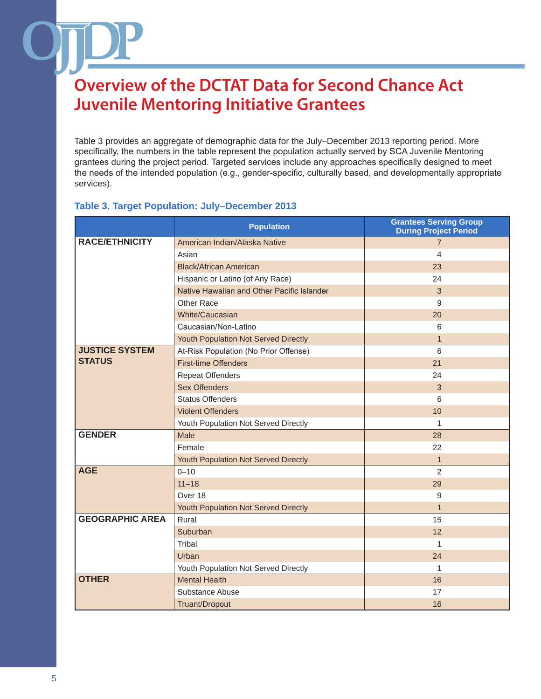Table 3 provides an aggregate of demographic data for the July–December 2013 reporting period. More specifically, the numbers in the table represent the population actually served by SCA Juvenile Mentoring grantees during the project period. Targeted services include any approaches specifically designed to meet the needs of the intended population (e.g., gender-specific, culturally based, and developmentally appropriate services).

### **Table 3. Target Population: July–December 2013**

|                        | <b>Population</b>                          | <b>Grantees Serving Group</b><br><b>During Project Period</b> |
|------------------------|--------------------------------------------|---------------------------------------------------------------|
| <b>RACE/ETHNICITY</b>  | American Indian/Alaska Native              | $\overline{7}$                                                |
|                        | Asian                                      | 4                                                             |
|                        | <b>Black/African American</b>              | 23                                                            |
|                        | Hispanic or Latino (of Any Race)           | 24                                                            |
|                        | Native Hawaiian and Other Pacific Islander | 3                                                             |
|                        | Other Race                                 | 9                                                             |
|                        | White/Caucasian                            | 20                                                            |
|                        | Caucasian/Non-Latino                       | 6                                                             |
|                        | Youth Population Not Served Directly       | $\mathbf{1}$                                                  |
| <b>JUSTICE SYSTEM</b>  | At-Risk Population (No Prior Offense)      | 6                                                             |
| <b>STATUS</b>          | <b>First-time Offenders</b>                | 21                                                            |
|                        | <b>Repeat Offenders</b>                    | 24                                                            |
|                        | <b>Sex Offenders</b>                       | $\mathbf{3}$                                                  |
|                        | <b>Status Offenders</b>                    | 6                                                             |
|                        | <b>Violent Offenders</b>                   | 10                                                            |
|                        | Youth Population Not Served Directly       | 1                                                             |
| <b>GENDER</b>          | Male                                       | 28                                                            |
|                        | Female                                     | 22                                                            |
|                        | Youth Population Not Served Directly       | $\mathbf{1}$                                                  |
| <b>AGE</b>             | $0 - 10$                                   | $\overline{2}$                                                |
|                        | $11 - 18$                                  | 29                                                            |
|                        | Over 18                                    | 9                                                             |
|                        | Youth Population Not Served Directly       | $\mathbf{1}$                                                  |
| <b>GEOGRAPHIC AREA</b> | Rural                                      | 15                                                            |
|                        | Suburban                                   | 12                                                            |
|                        | Tribal                                     | 1                                                             |
|                        | Urban                                      | 24                                                            |
|                        | Youth Population Not Served Directly       | $\mathbf{1}$                                                  |
| <b>OTHER</b>           | <b>Mental Health</b>                       | 16                                                            |
|                        | Substance Abuse                            | 17                                                            |
|                        | Truant/Dropout                             | 16                                                            |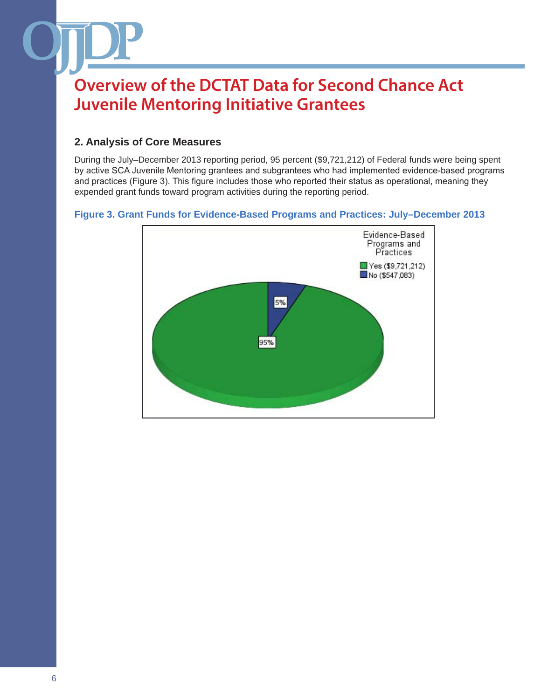### **2. Analysis of Core Measures**

During the July–December 2013 reporting period, 95 percent (\$9,721,212) of Federal funds were being spent by active SCA Juvenile Mentoring grantees and subgrantees who had implemented evidence-based programs and practices (Figure 3). This figure includes those who reported their status as operational, meaning they expended grant funds toward program activities during the reporting period.

### **Figure 3. Grant Funds for Evidence-Based Programs and Practices: July–December 2013**

![](_page_5_Figure_4.jpeg)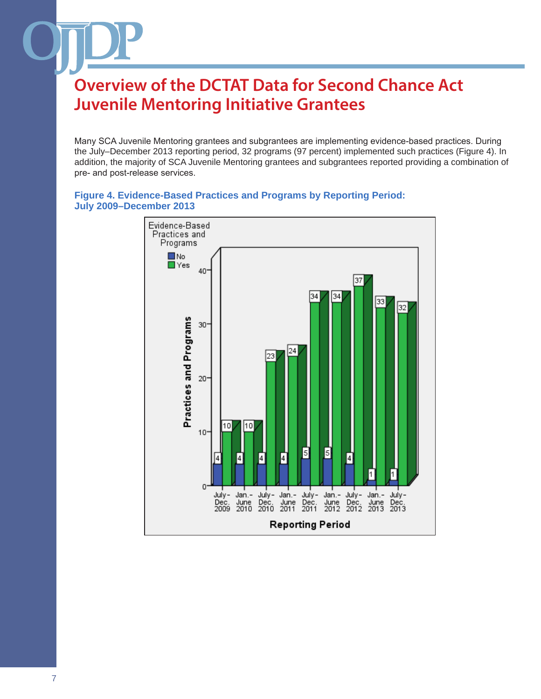Many SCA Juvenile Mentoring grantees and subgrantees are implementing evidence-based practices. During the July–December 2013 reporting period, 32 programs (97 percent) implemented such practices (Figure 4). In addition, the majority of SCA Juvenile Mentoring grantees and subgrantees reported providing a combination of pre- and post-release services.

#### **Figure 4. Evidence-Based Practices and Programs by Reporting Period: July 2009–December 2013**

![](_page_6_Figure_3.jpeg)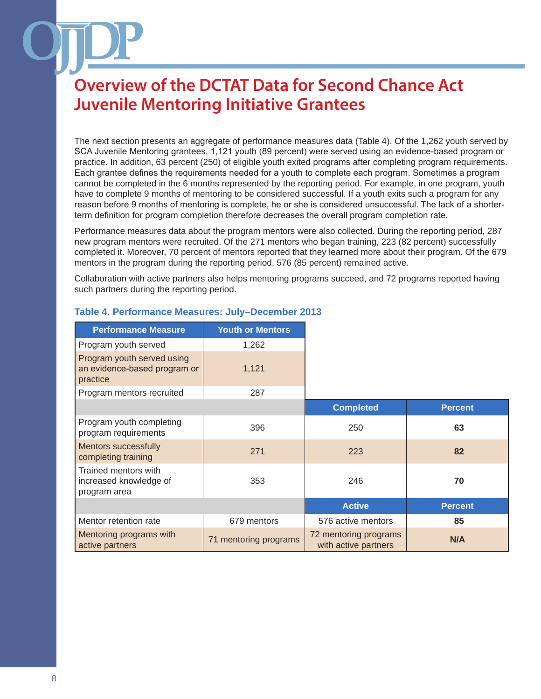The next section presents an aggregate of performance measures data (Table 4). Of the 1,262 youth served by SCA Juvenile Mentoring grantees, 1,121 youth (89 percent) were served using an evidence-based program or practice. In addition, 63 percent (250) of eligible youth exited programs after completing program requirements. Each grantee defines the requirements needed for a youth to complete each program. Sometimes a program cannot be completed in the 6 months represented by the reporting period. For example, in one program, youth have to complete 9 months of mentoring to be considered successful. If a youth exits such a program for any reason before 9 months of mentoring is complete, he or she is considered unsuccessful. The lack of a shorterterm definition for program completion therefore decreases the overall program completion rate.

Performance measures data about the program mentors were also collected. During the reporting period, 287 new program mentors were recruited. Of the 271 mentors who began training, 223 (82 percent) successfully completed it. Moreover, 70 percent of mentors reported that they learned more about their program. Of the 679 mentors in the program during the reporting period, 576 (85 percent) remained active.

Collaboration with active partners also helps mentoring programs succeed, and 72 programs reported having such partners during the reporting period.

| <b>Performance Measure</b>                                             | <b>Youth or Mentors</b> |                                               |                |
|------------------------------------------------------------------------|-------------------------|-----------------------------------------------|----------------|
| Program youth served                                                   | 1,262                   |                                               |                |
| Program youth served using<br>an evidence-based program or<br>practice | 1,121                   |                                               |                |
| Program mentors recruited                                              | 287                     |                                               |                |
|                                                                        |                         | <b>Completed</b>                              | <b>Percent</b> |
| Program youth completing<br>program requirements                       | 396                     | 250                                           | 63             |
| <b>Mentors successfully</b><br>completing training                     | 271                     | 223                                           | 82             |
| Trained mentors with<br>increased knowledge of<br>program area         | 353                     | 246                                           | 70             |
|                                                                        |                         | <b>Active</b>                                 | <b>Percent</b> |
| Mentor retention rate                                                  | 679 mentors             | 576 active mentors                            | 85             |
| Mentoring programs with<br>active partners                             | 71 mentoring programs   | 72 mentoring programs<br>with active partners | N/A            |

### **Table 4. Performance Measures: July–December 2013**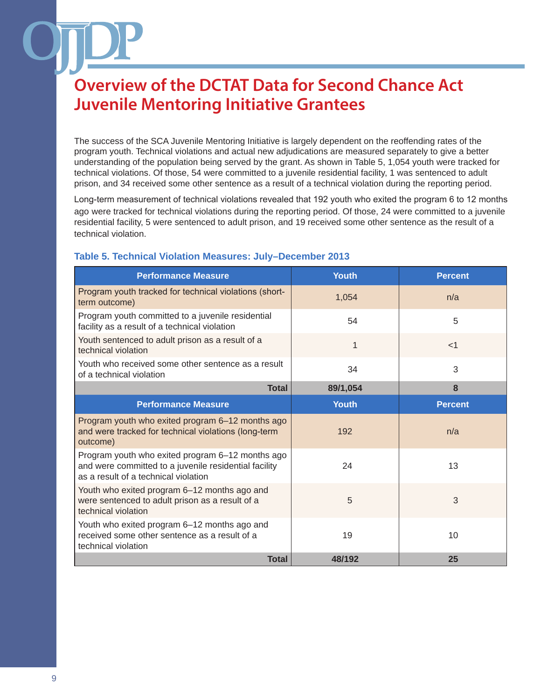The success of the SCA Juvenile Mentoring Initiative is largely dependent on the reoffending rates of the program youth. Technical violations and actual new adjudications are measured separately to give a better understanding of the population being served by the grant. As shown in Table 5, 1,054 youth were tracked for technical violations. Of those, 54 were committed to a juvenile residential facility, 1 was sentenced to adult prison, and 34 received some other sentence as a result of a technical violation during the reporting period.

Long-term measurement of technical violations revealed that 192 youth who exited the program 6 to 12 months ago were tracked for technical violations during the reporting period. Of those, 24 were committed to a juvenile residential facility, 5 were sentenced to adult prison, and 19 received some other sentence as the result of a technical violation.

| <b>Performance Measure</b>                                                                                                                        | Youth        | <b>Percent</b> |
|---------------------------------------------------------------------------------------------------------------------------------------------------|--------------|----------------|
| Program youth tracked for technical violations (short-<br>term outcome)                                                                           | 1,054        | n/a            |
| Program youth committed to a juvenile residential<br>facility as a result of a technical violation                                                | 54           | 5              |
| Youth sentenced to adult prison as a result of a<br>technical violation                                                                           | $\mathbf 1$  | $<$ 1          |
| Youth who received some other sentence as a result<br>of a technical violation                                                                    | 34           | 3              |
| <b>Total</b>                                                                                                                                      | 89/1,054     | 8              |
| <b>Performance Measure</b>                                                                                                                        | <b>Youth</b> | <b>Percent</b> |
| Program youth who exited program 6-12 months ago<br>and were tracked for technical violations (long-term<br>outcome)                              | 192          | n/a            |
| Program youth who exited program 6-12 months ago<br>and were committed to a juvenile residential facility<br>as a result of a technical violation | 24           | 13             |
| Youth who exited program 6-12 months ago and<br>were sentenced to adult prison as a result of a<br>technical violation                            | 5            | 3              |
| Youth who exited program 6-12 months ago and<br>received some other sentence as a result of a<br>technical violation                              | 19           | 10             |
| <b>Total</b>                                                                                                                                      | 48/192       | 25             |

### **Table 5. Technical Violation Measures: July–December 2013**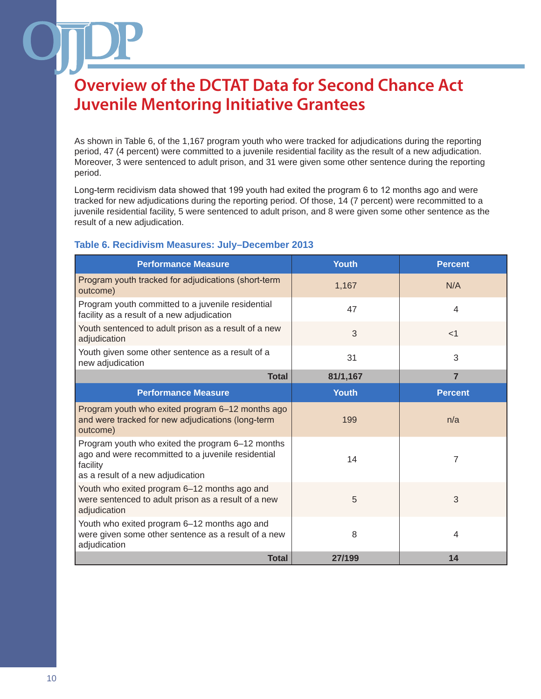As shown in Table 6, of the 1,167 program youth who were tracked for adjudications during the reporting period, 47 (4 percent) were committed to a juvenile residential facility as the result of a new adjudication. Moreover, 3 were sentenced to adult prison, and 31 were given some other sentence during the reporting period.

Long-term recidivism data showed that 199 youth had exited the program 6 to 12 months ago and were tracked for new adjudications during the reporting period. Of those, 14 (7 percent) were recommitted to a juvenile residential facility, 5 were sentenced to adult prison, and 8 were given some other sentence as the result of a new adjudication.

#### **Table 6. Recidivism Measures: July–December 2013**

| <b>Performance Measure</b>                                                                                                                              | Youth        | <b>Percent</b> |
|---------------------------------------------------------------------------------------------------------------------------------------------------------|--------------|----------------|
| Program youth tracked for adjudications (short-term<br>outcome)                                                                                         | 1,167        | N/A            |
| Program youth committed to a juvenile residential<br>facility as a result of a new adjudication                                                         | 47           | 4              |
| Youth sentenced to adult prison as a result of a new<br>adjudication                                                                                    | 3            | $<$ 1          |
| Youth given some other sentence as a result of a<br>new adjudication                                                                                    | 31           | 3              |
| <b>Total</b>                                                                                                                                            | 81/1,167     | $\overline{7}$ |
| <b>Performance Measure</b>                                                                                                                              | <b>Youth</b> | <b>Percent</b> |
| Program youth who exited program 6-12 months ago<br>and were tracked for new adjudications (long-term<br>outcome)                                       | 199          | n/a            |
| Program youth who exited the program 6-12 months<br>ago and were recommitted to a juvenile residential<br>facility<br>as a result of a new adjudication | 14           | 7              |
| Youth who exited program 6-12 months ago and<br>were sentenced to adult prison as a result of a new<br>adjudication                                     | 5            | 3              |
| Youth who exited program 6-12 months ago and<br>were given some other sentence as a result of a new<br>adjudication                                     | 8            | 4              |
| <b>Total</b>                                                                                                                                            | 27/199       | 14             |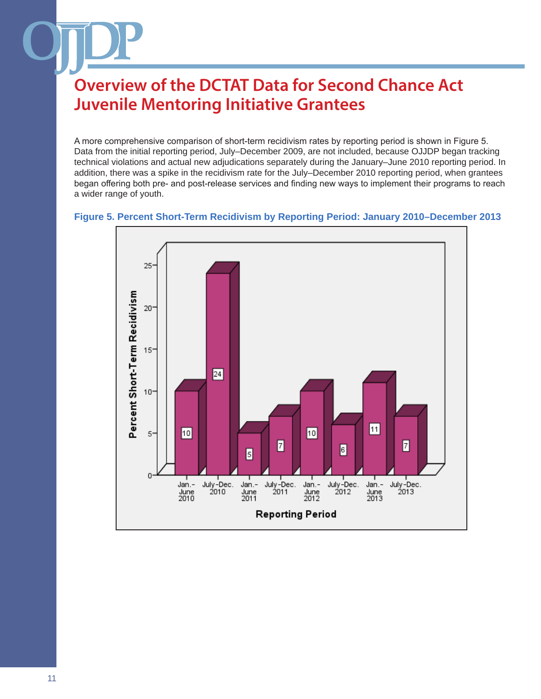A more comprehensive comparison of short-term recidivism rates by reporting period is shown in Figure 5. Data from the initial reporting period, July–December 2009, are not included, because OJJDP began tracking technical violations and actual new adjudications separately during the January–June 2010 reporting period. In addition, there was a spike in the recidivism rate for the July–December 2010 reporting period, when grantees began offering both pre- and post-release services and finding new ways to implement their programs to reach a wider range of youth.

### **Figure 5. Percent Short-Term Recidivism by Reporting Period: January 2010–December 2013**

![](_page_10_Figure_3.jpeg)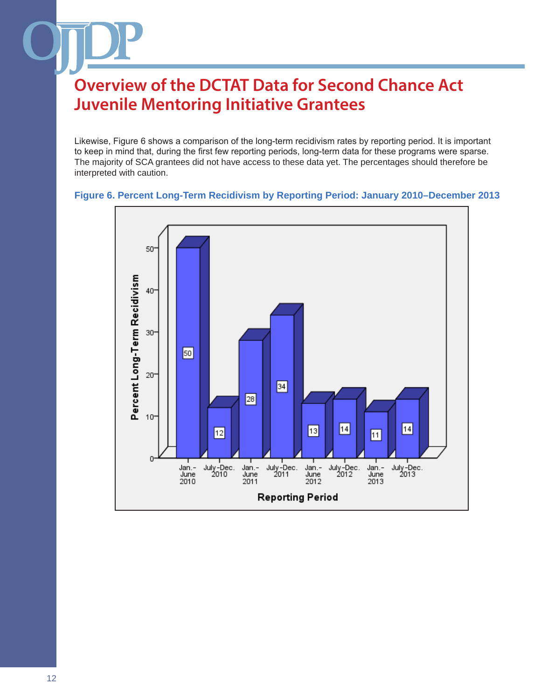Likewise, Figure 6 shows a comparison of the long-term recidivism rates by reporting period. It is important to keep in mind that, during the first few reporting periods, long-term data for these programs were sparse. The majority of SCA grantees did not have access to these data yet. The percentages should therefore be interpreted with caution.

### **Figure 6. Percent Long-Term Recidivism by Reporting Period: January 2010–December 2013**

![](_page_11_Figure_3.jpeg)